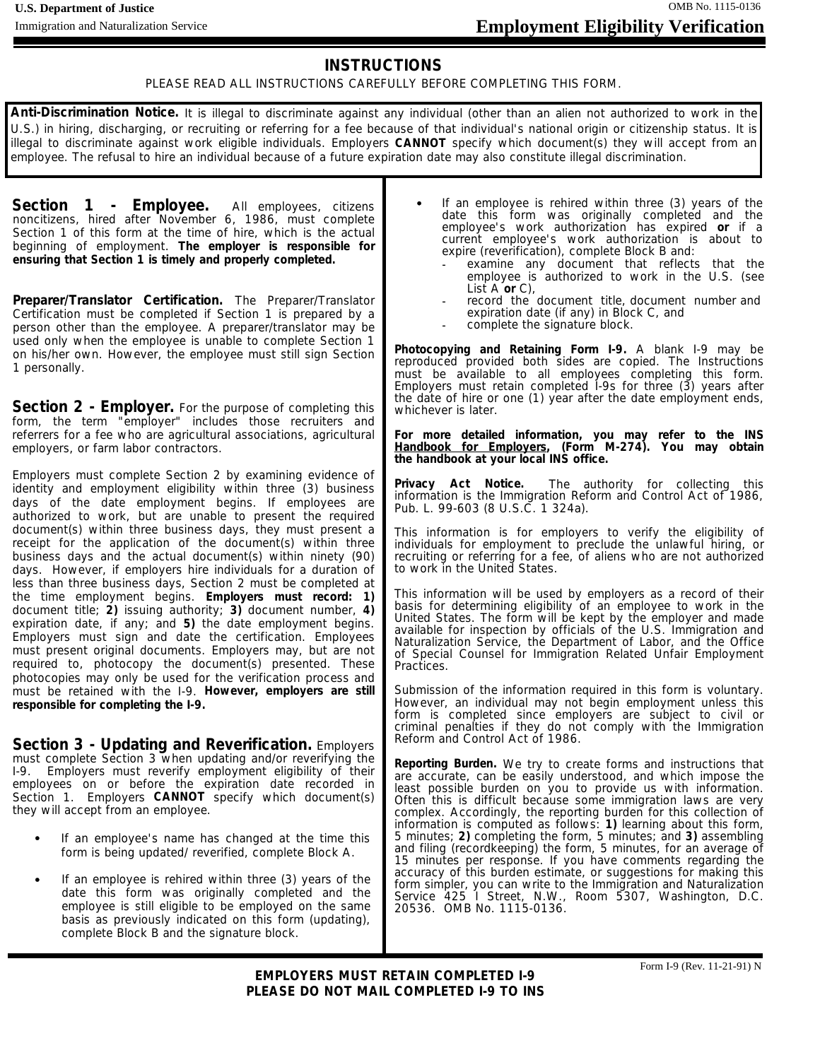# **INSTRUCTIONS**

PLEASE READ ALL INSTRUCTIONS CAREFULLY BEFORE COMPLETING THIS FORM.

**Anti-Discrimination Notice.** It is illegal to discriminate against any individual (other than an alien not authorized to work in the U.S.) in hiring, discharging, or recruiting or referring for a fee because of that individual's national origin or citizenship status. It is illegal to discriminate against work eligible individuals. Employers **CANNOT** specify which document(s) they will accept from an employee. The refusal to hire an individual because of a future expiration date may also constitute illegal discrimination.

**Section 1 - Employee.** All employees, citizens **and the set of the section 1 - Employee** is rehired within three (3) years of the All employees, citizens noncitizens, hired after November 6, 1986, must complete Section 1 of this form at the time of hire, which is the actual beginning of employment. **The employer is responsible for**

**Preparer/Translator Certification.** The Preparer/Translator Certification must be completed if Section 1 is prepared by a person other than the employee. A preparer/translator may be used only when the employee is unable to complete Section 1 on his/her own. However, the employee must still sign Section 1 personally.

form, the term "employer" includes those recruiters and referrers for a fee who are agricultural associations, agricultural employers, or farm labor contractors.

Employers must complete Section 2 by examining evidence of identity and employment eligibility within three (3) business days of the date employment begins. If employees are authorized to work, but are unable to present the required document(s) within three business days, they must present a receipt for the application of the document(s) within three business days and the actual document(s) within ninety (90) days. However, if employers hire individuals for a duration of less than three business days, Section 2 must be completed at the time employment begins. **Employers must record: 1)** document title; **2)** issuing authority; **3)** document number, **4)** expiration date, if any; and **5)** the date employment begins. Employers must sign and date the certification. Employees must present original documents. Employers may, but are not required to, photocopy the document(s) presented. These photocopies may only be used for the verification process and must be retained with the I-9. **However, employers are still responsible for completing the I-9.**

Section 3 - Updating and Reverification. Employers Reform and Control Act of 1986. must complete Section 3 when updating and/or reverifying the Employers must reverify employment eligibility of their employees on or before the expiration date recorded in Section 1. Employers **CANNOT** specify which document(s) they will accept from an employee.

- If an employee's name has changed at the time this form is being updated/ reverified, complete Block A.
- If an employee is rehired within three (3) years of the date this form was originally completed and the employee is still eligible to be employed on the same basis as previously indicated on this form (updating), complete Block B and the signature block.
- date this form was originally completed and the employee's work authorization has expired **or** if a current employee's work authorization is about to expire (reverification), complete Block B and:
	- examine any document that reflects that the employee is authorized to work in the U.S. (see List A **or** C), -
	- record the document title, document number and expiration date (if any) in Block C, and -
	- complete the signature block. -

**Photocopying and Retaining Form I-9.** A blank I-9 may be reproduced provided both sides are copied. The Instructions must be available to all employees completing this form. Employers must retain completed I-9s for three (3) years after **Section 2 - Employer.** For the purpose of completing this whichever is later.<br>**Section 2 - Employer.** For the purpose of completing this whichever is later.

> **For more detailed information, you may refer to the INS Handbook for Employers, (Form M-274). You may obtain the handbook at your local INS office.**

> **Privacy Act Notice.** The authority for collecting this information is the Immigration Reform and Control Act of 1986, Pub. L. 99-603 (8 U.S.C. 1 324a).

> This information is for employers to verify the eligibility of individuals for employment to preclude the unlawful hiring, or recruiting or referring for a fee, of aliens who are not authorized to work in the United States.

> This information will be used by employers as a record of their basis for determining eligibility of an employee to work in the United States. The form will be kept by the employer and made available for inspection by officials of the U.S. Immigration and Naturalization Service, the Department of Labor, and the Office of Special Counsel for Immigration Related Unfair Employment Practices.

> Submission of the information required in this form is voluntary. However, an individual may not begin employment unless this form is completed since employers are subject to civil or criminal penalties if they do not comply with the Immigration

> **Reporting Burden.** We try to create forms and instructions that are accurate, can be easily understood, and which impose the least possible burden on you to provide us with information. Often this is difficult because some immigration laws are very complex. Accordingly, the reporting burden for this collection of information is computed as follows: **1)** learning about this form, 5 minutes; **2)** completing the form, 5 minutes; and **3)** assembling and filing (recordkeeping) the form, 5 minutes, for an average of 15 minutes per response. If you have comments regarding the accuracy of this burden estimate, or suggestions for making this form simpler, you can write to the Immigration and Naturalization Service 425 I Street, N.W., Room 5307, Washington, D.C. 20536. OMB No. 1115-0136.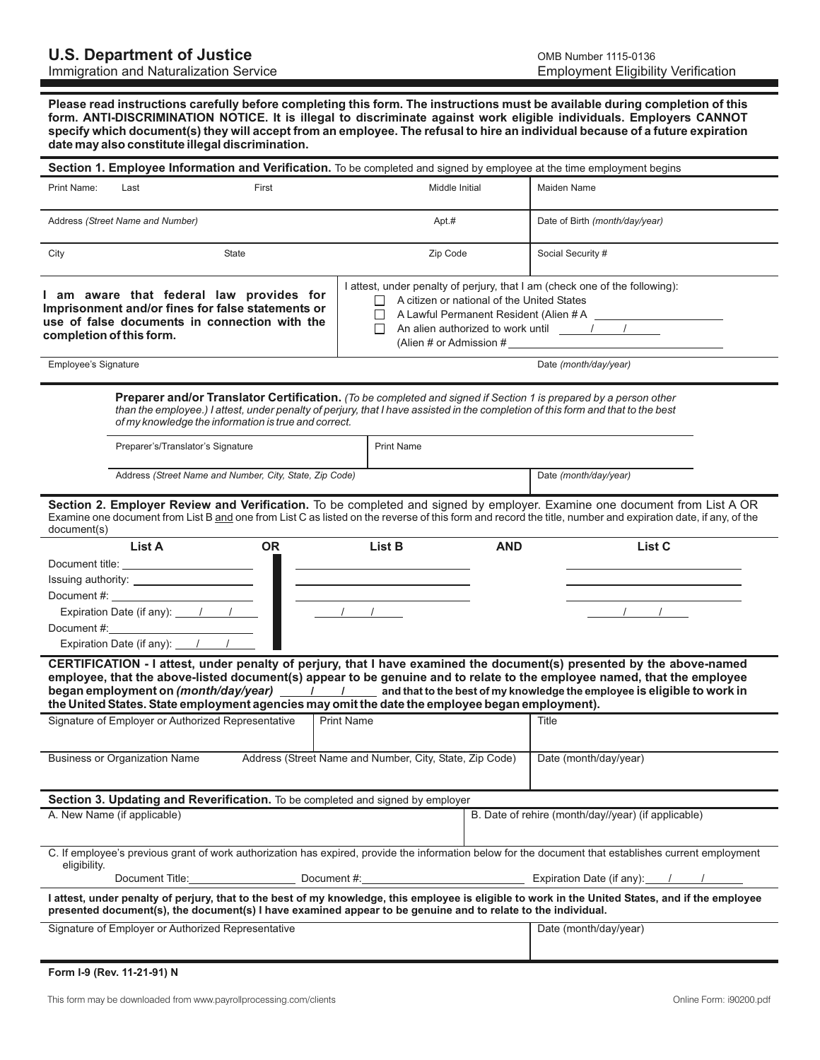**Please read instructions carefully before completing this form. The instructions must be available during completion of this form. ANTI-DISCRIMINATION NOTICE. It is illegal to discriminate against work eligible individuals. Employers CANNOT specify which document(s) they will accept from an employee. The refusal to hire an individual because of a future expiration date may also constitute illegal discrimination.**

|                                                                                                                                                                                                                                                                                                                                                                                                          |                                                         | Section 1. Employee Information and Verification. To be completed and signed by employee at the time employment begins |                   |                                                                                                                                                                                                           |                       |                                                     |        |  |
|----------------------------------------------------------------------------------------------------------------------------------------------------------------------------------------------------------------------------------------------------------------------------------------------------------------------------------------------------------------------------------------------------------|---------------------------------------------------------|------------------------------------------------------------------------------------------------------------------------|-------------------|-----------------------------------------------------------------------------------------------------------------------------------------------------------------------------------------------------------|-----------------------|-----------------------------------------------------|--------|--|
| Print Name:                                                                                                                                                                                                                                                                                                                                                                                              | Last                                                    | First                                                                                                                  |                   | Middle Initial                                                                                                                                                                                            |                       | <b>Maiden Name</b>                                  |        |  |
| Address (Street Name and Number)                                                                                                                                                                                                                                                                                                                                                                         |                                                         |                                                                                                                        |                   | Apt.#                                                                                                                                                                                                     |                       | Date of Birth (month/day/year)                      |        |  |
| City                                                                                                                                                                                                                                                                                                                                                                                                     |                                                         | <b>State</b>                                                                                                           |                   | Zip Code                                                                                                                                                                                                  |                       | Social Security #                                   |        |  |
| I am aware that federal law provides for<br>Imprisonment and/or fines for false statements or<br>use of false documents in connection with the<br>completion of this form.<br>Employee's Signature                                                                                                                                                                                                       |                                                         |                                                                                                                        |                   | I attest, under penalty of perjury, that I am (check one of the following):<br>A citizen or national of the United States<br>$\Box$ An alien authorized to work until $\Box$ / /<br>Date (month/day/year) |                       |                                                     |        |  |
|                                                                                                                                                                                                                                                                                                                                                                                                          |                                                         |                                                                                                                        |                   |                                                                                                                                                                                                           |                       |                                                     |        |  |
| Preparer and/or Translator Certification. (To be completed and signed if Section 1 is prepared by a person other<br>than the employee.) I attest, under penalty of perjury, that I have assisted in the completion of this form and that to the best<br>of my knowledge the information is true and correct.                                                                                             |                                                         |                                                                                                                        |                   |                                                                                                                                                                                                           |                       |                                                     |        |  |
|                                                                                                                                                                                                                                                                                                                                                                                                          | Preparer's/Translator's Signature                       |                                                                                                                        |                   | <b>Print Name</b>                                                                                                                                                                                         |                       |                                                     |        |  |
|                                                                                                                                                                                                                                                                                                                                                                                                          | Address (Street Name and Number, City, State, Zip Code) |                                                                                                                        |                   |                                                                                                                                                                                                           | Date (month/day/year) |                                                     |        |  |
| Section 2. Employer Review and Verification. To be completed and signed by employer. Examine one document from List A OR<br>Examine one document from List B and one from List C as listed on the reverse of this form and record the title, number and expiration date, if any, of the<br>document(s)                                                                                                   |                                                         |                                                                                                                        |                   |                                                                                                                                                                                                           |                       |                                                     |        |  |
|                                                                                                                                                                                                                                                                                                                                                                                                          | List A                                                  | OR.                                                                                                                    |                   | List B                                                                                                                                                                                                    | <b>AND</b>            |                                                     | List C |  |
|                                                                                                                                                                                                                                                                                                                                                                                                          |                                                         |                                                                                                                        |                   |                                                                                                                                                                                                           |                       |                                                     |        |  |
|                                                                                                                                                                                                                                                                                                                                                                                                          |                                                         |                                                                                                                        |                   |                                                                                                                                                                                                           |                       |                                                     |        |  |
| Expiration Date (if any): 11/11                                                                                                                                                                                                                                                                                                                                                                          |                                                         |                                                                                                                        |                   |                                                                                                                                                                                                           |                       |                                                     |        |  |
|                                                                                                                                                                                                                                                                                                                                                                                                          |                                                         |                                                                                                                        |                   |                                                                                                                                                                                                           |                       |                                                     |        |  |
| Expiration Date (if any): 1                                                                                                                                                                                                                                                                                                                                                                              |                                                         |                                                                                                                        |                   |                                                                                                                                                                                                           |                       |                                                     |        |  |
| CERTIFICATION - I attest, under penalty of perjury, that I have examined the document(s) presented by the above-named<br>employee, that the above-listed document(s) appear to be genuine and to relate to the employee named, that the employee<br>the United States. State employment agencies may omit the date the employee began employment).<br>Signature of Employer or Authorized Representative |                                                         |                                                                                                                        |                   |                                                                                                                                                                                                           |                       |                                                     |        |  |
|                                                                                                                                                                                                                                                                                                                                                                                                          |                                                         |                                                                                                                        | <b>Print Name</b> |                                                                                                                                                                                                           |                       | Title                                               |        |  |
| <b>Business or Organization Name</b><br>Address (Street Name and Number, City, State, Zip Code)                                                                                                                                                                                                                                                                                                          |                                                         |                                                                                                                        |                   |                                                                                                                                                                                                           |                       | Date (month/day/year)                               |        |  |
| Section 3. Updating and Reverification. To be completed and signed by employer                                                                                                                                                                                                                                                                                                                           |                                                         |                                                                                                                        |                   |                                                                                                                                                                                                           |                       |                                                     |        |  |
| A. New Name (if applicable)                                                                                                                                                                                                                                                                                                                                                                              |                                                         |                                                                                                                        |                   |                                                                                                                                                                                                           |                       | B. Date of rehire (month/day//year) (if applicable) |        |  |
| C. If employee's previous grant of work authorization has expired, provide the information below for the document that establishes current employment<br>eligibility.<br>Document #:<br>Document Title:                                                                                                                                                                                                  |                                                         |                                                                                                                        |                   |                                                                                                                                                                                                           |                       | Expiration Date (if any):                           |        |  |
| I attest, under penalty of perjury, that to the best of my knowledge, this employee is eligible to work in the United States, and if the employee<br>presented document(s), the document(s) I have examined appear to be genuine and to relate to the individual.                                                                                                                                        |                                                         |                                                                                                                        |                   |                                                                                                                                                                                                           |                       |                                                     |        |  |
| Signature of Employer or Authorized Representative                                                                                                                                                                                                                                                                                                                                                       |                                                         |                                                                                                                        |                   |                                                                                                                                                                                                           |                       | Date (month/day/year)                               |        |  |